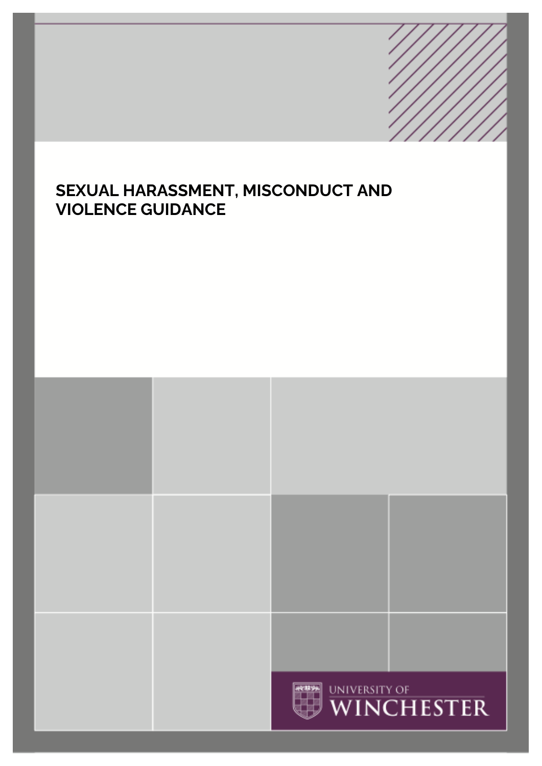# **SEXUAL HARASSMENT, MISCONDUCT AND VIOLENCE GUIDANCE**

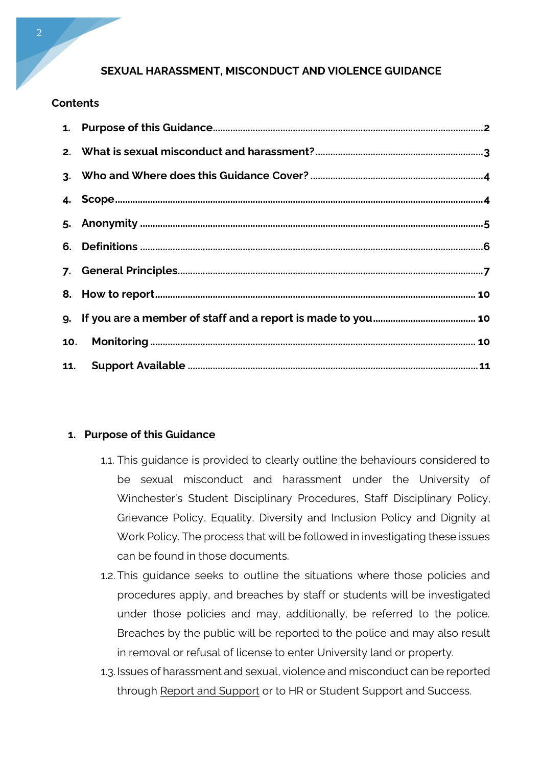## **SEXUAL HARASSMENT, MISCONDUCT AND VIOLENCE GUIDANCE**

#### **Contents**

### **1. Purpose of this Guidance**

- 1.1. This guidance is provided to clearly outline the behaviours considered to be sexual misconduct and harassment under the University of Winchester's Student Disciplinary Procedures, Staff Disciplinary Policy, Grievance Policy, Equality, Diversity and Inclusion Policy and Dignity at Work Policy. The process that will be followed in investigating these issues can be found in those documents.
- 1.2. This guidance seeks to outline the situations where those policies and procedures apply, and breaches by staff or students will be investigated under those policies and may, additionally, be referred to the police. Breaches by the public will be reported to the police and may also result in removal or refusal of license to enter University land or property.
- 1.3.Issues of harassment and sexual, violence and misconduct can be reported throug[h Report and Support](https://reportandsupport.winchester.ac.uk/) or to HR or Student Support and Success.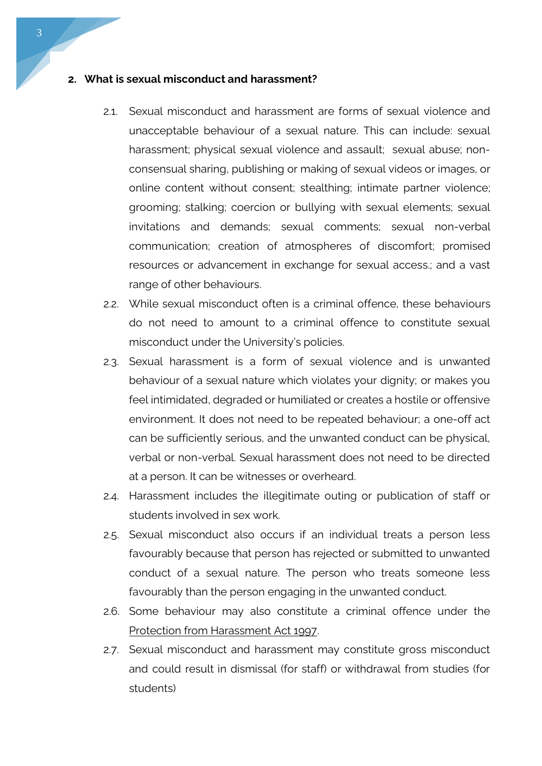#### **2. What is sexual misconduct and harassment?**

- 2.1. Sexual misconduct and harassment are forms of sexual violence and unacceptable behaviour of a sexual nature. This can include: sexual harassment; physical sexual violence and assault; sexual abuse; nonconsensual sharing, publishing or making of sexual videos or images, or online content without consent; stealthing; intimate partner violence; grooming; stalking; coercion or bullying with sexual elements; sexual invitations and demands; sexual comments; sexual non-verbal communication; creation of atmospheres of discomfort; promised resources or advancement in exchange for sexual access.; and a vast range of other behaviours.
- 2.2. While sexual misconduct often is a criminal offence, these behaviours do not need to amount to a criminal offence to constitute sexual misconduct under the University's policies.
- 2.3. Sexual harassment is a form of sexual violence and is unwanted behaviour of a sexual nature which violates your dignity; or makes you feel intimidated, degraded or humiliated or creates a hostile or offensive environment. It does not need to be repeated behaviour; a one-off act can be sufficiently serious, and the unwanted conduct can be physical, verbal or non-verbal. Sexual harassment does not need to be directed at a person. It can be witnesses or overheard.
- 2.4. Harassment includes the illegitimate outing or publication of staff or students involved in sex work.
- 2.5. Sexual misconduct also occurs if an individual treats a person less favourably because that person has rejected or submitted to unwanted conduct of a sexual nature. The person who treats someone less favourably than the person engaging in the unwanted conduct.
- 2.6. Some behaviour may also constitute a criminal offence under the [Protection from Harassment Act 1997.](https://www.legislation.gov.uk/ukpga/1997/40/contents)
- 2.7. Sexual misconduct and harassment may constitute gross misconduct and could result in dismissal (for staff) or withdrawal from studies (for students)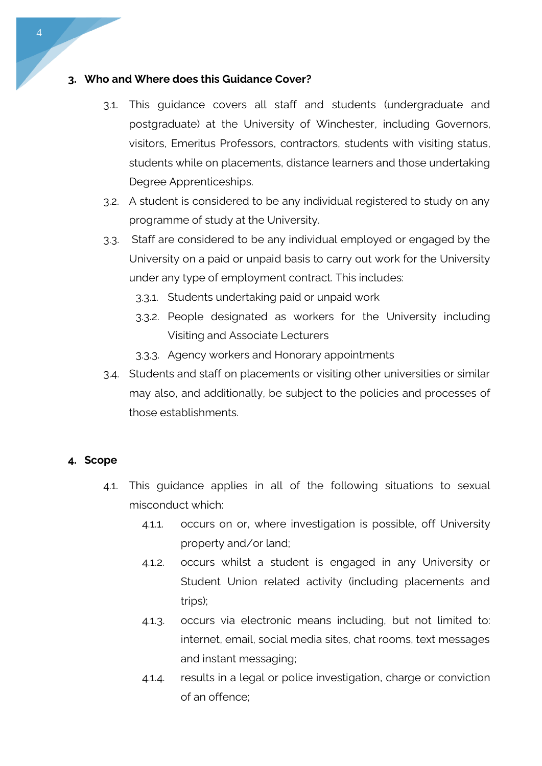### **3. Who and Where does this Guidance Cover?**

- 3.1. This guidance covers all staff and students (undergraduate and postgraduate) at the University of Winchester, including Governors, visitors, Emeritus Professors, contractors, students with visiting status, students while on placements, distance learners and those undertaking Degree Apprenticeships.
- 3.2. A student is considered to be any individual registered to study on any programme of study at the University.
- 3.3. Staff are considered to be any individual employed or engaged by the University on a paid or unpaid basis to carry out work for the University under any type of employment contract. This includes:
	- 3.3.1. Students undertaking paid or unpaid work
	- 3.3.2. People designated as workers for the University including Visiting and Associate Lecturers
	- 3.3.3. Agency workers and Honorary appointments
- 3.4. Students and staff on placements or visiting other universities or similar may also, and additionally, be subject to the policies and processes of those establishments.

### **4. Scope**

- 4.1. This guidance applies in all of the following situations to sexual misconduct which:
	- 4.1.1. occurs on or, where investigation is possible, off University property and/or land;
	- 4.1.2. occurs whilst a student is engaged in any University or Student Union related activity (including placements and trips);
	- 4.1.3. occurs via electronic means including, but not limited to: internet, email, social media sites, chat rooms, text messages and instant messaging;
	- 4.1.4. results in a legal or police investigation, charge or conviction of an offence;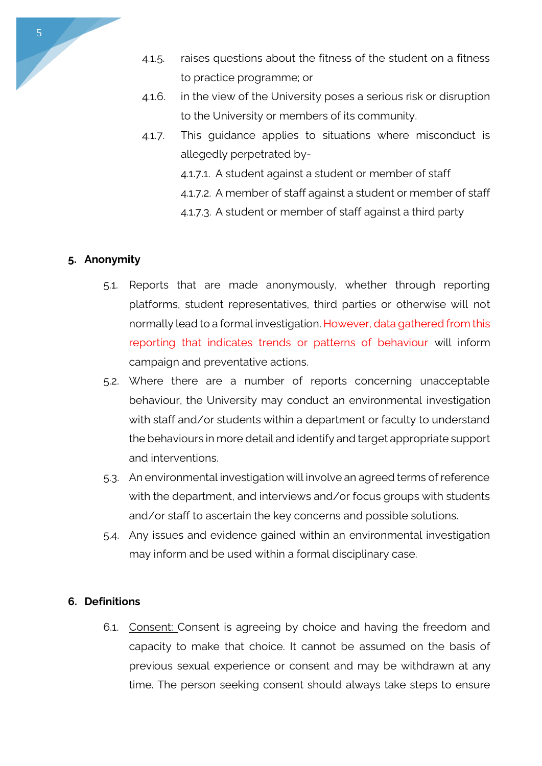- 4.1.5. raises questions about the fitness of the student on a fitness to practice programme; or
- 4.1.6. in the view of the University poses a serious risk or disruption to the University or members of its community.
- 4.1.7. This guidance applies to situations where misconduct is allegedly perpetrated by-
	- 4.1.7.1. A student against a student or member of staff
	- 4.1.7.2. A member of staff against a student or member of staff
	- 4.1.7.3. A student or member of staff against a third party

### **5. Anonymity**

- 5.1. Reports that are made anonymously, whether through reporting platforms, student representatives, third parties or otherwise will not normally lead to a formal investigation. However, data gathered from this reporting that indicates trends or patterns of behaviour will inform campaign and preventative actions.
- 5.2. Where there are a number of reports concerning unacceptable behaviour, the University may conduct an environmental investigation with staff and/or students within a department or faculty to understand the behaviours in more detail and identify and target appropriate support and interventions.
- 5.3. An environmental investigation will involve an agreed terms of reference with the department, and interviews and/or focus groups with students and/or staff to ascertain the key concerns and possible solutions.
- 5.4. Any issues and evidence gained within an environmental investigation may inform and be used within a formal disciplinary case.

### **6. Definitions**

6.1. Consent: Consent is agreeing by choice and having the freedom and capacity to make that choice. It cannot be assumed on the basis of previous sexual experience or consent and may be withdrawn at any time. The person seeking consent should always take steps to ensure

5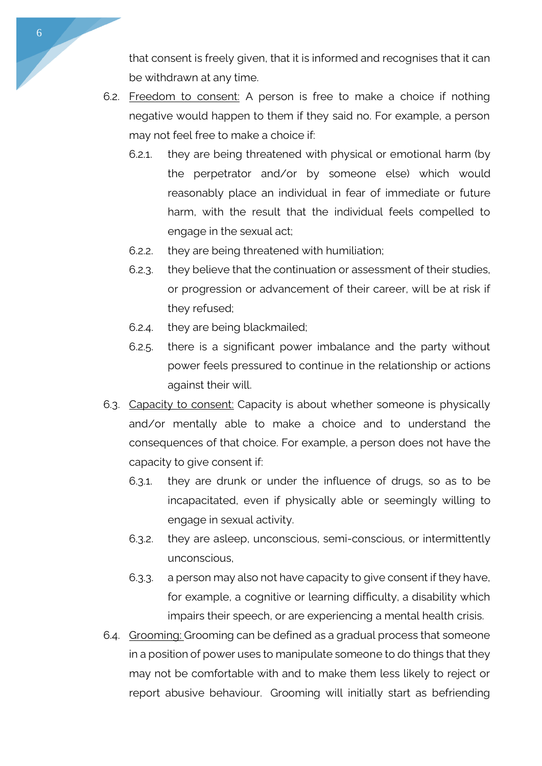that consent is freely given, that it is informed and recognises that it can be withdrawn at any time.

- 6.2. Freedom to consent: A person is free to make a choice if nothing negative would happen to them if they said no. For example, a person may not feel free to make a choice if:
	- 6.2.1. they are being threatened with physical or emotional harm (by the perpetrator and/or by someone else) which would reasonably place an individual in fear of immediate or future harm, with the result that the individual feels compelled to engage in the sexual act;
	- 6.2.2. they are being threatened with humiliation;
	- 6.2.3. they believe that the continuation or assessment of their studies, or progression or advancement of their career, will be at risk if they refused;
	- 6.2.4. they are being blackmailed;
	- 6.2.5. there is a significant power imbalance and the party without power feels pressured to continue in the relationship or actions against their will.
- 6.3. Capacity to consent: Capacity is about whether someone is physically and/or mentally able to make a choice and to understand the consequences of that choice. For example, a person does not have the capacity to give consent if:
	- 6.3.1. they are drunk or under the influence of drugs, so as to be incapacitated, even if physically able or seemingly willing to engage in sexual activity.
	- 6.3.2. they are asleep, unconscious, semi-conscious, or intermittently unconscious,
	- 6.3.3. a person may also not have capacity to give consent if they have, for example, a cognitive or learning difficulty, a disability which impairs their speech, or are experiencing a mental health crisis.
- 6.4. Grooming: Grooming can be defined as a gradual process that someone in a position of power uses to manipulate someone to do things that they may not be comfortable with and to make them less likely to reject or report abusive behaviour. Grooming will initially start as befriending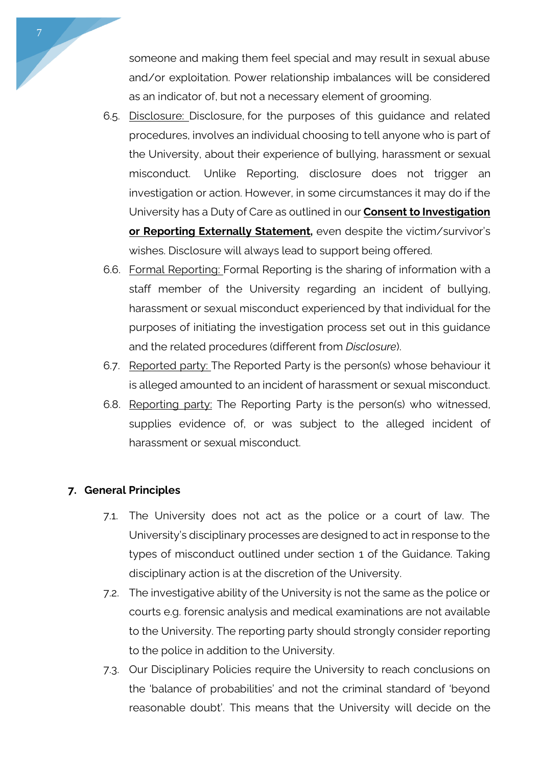someone and making them feel special and may result in sexual abuse and/or exploitation. Power relationship imbalances will be considered as an indicator of, but not a necessary element of grooming.

- 6.5. Disclosure: Disclosure, for the purposes of this guidance and related procedures, involves an individual choosing to tell anyone who is part of the University, about their experience of bullying, harassment or sexual misconduct. Unlike Reporting, disclosure does not trigger an investigation or action. However, in some circumstances it may do if the University has a Duty of Care as outlined in our **Consent to [Investigation](https://unimailwinchesterac.sharepoint.com/sites/intranet/publishing-equality-and-diversity/Documents/CONSENT%20TO%20INVESTIGATE%20STATEMENT.pdf#search=Consent%20to%20Investigation%20or%20Reporting%20Externally%20Statement) or Reporting Externally [Statement,](https://unimailwinchesterac.sharepoint.com/sites/intranet/publishing-equality-and-diversity/Documents/CONSENT%20TO%20INVESTIGATE%20STATEMENT.pdf#search=Consent%20to%20Investigation%20or%20Reporting%20Externally%20Statement)** even despite the victim/survivor's wishes. Disclosure will always lead to support being offered.
- 6.6. Formal Reporting: Formal Reporting is the sharing of information with a staff member of the University regarding an incident of bullying, harassment or sexual misconduct experienced by that individual for the purposes of initiating the investigation process set out in this guidance and the related procedures (different from *Disclosure*).
- 6.7. Reported party: The Reported Party is the person(s) whose behaviour it is alleged amounted to an incident of harassment or sexual misconduct.
- 6.8. Reporting party: The Reporting Party is the person(s) who witnessed, supplies evidence of, or was subject to the alleged incident of harassment or sexual misconduct.

# **7. General Principles**

- 7.1. The University does not act as the police or a court of law. The University's disciplinary processes are designed to act in response to the types of misconduct outlined under section 1 of the Guidance. Taking disciplinary action is at the discretion of the University.
- 7.2. The investigative ability of the University is not the same as the police or courts e.g. forensic analysis and medical examinations are not available to the University. The reporting party should strongly consider reporting to the police in addition to the University.
- 7.3. Our Disciplinary Policies require the University to reach conclusions on the 'balance of probabilities' and not the criminal standard of 'beyond reasonable doubt'. This means that the University will decide on the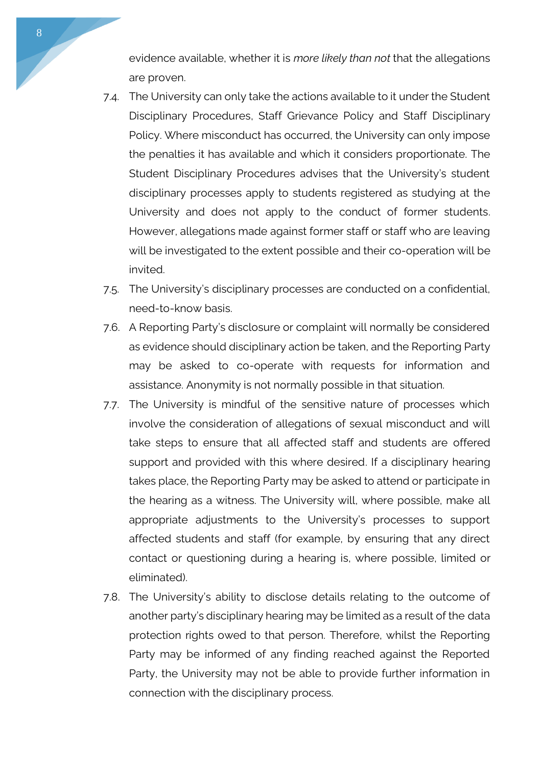evidence available, whether it is *more likely than not* that the allegations are proven.

- 7.4. The University can only take the actions available to it under the Student Disciplinary Procedures, Staff Grievance Policy and Staff Disciplinary Policy. Where misconduct has occurred, the University can only impose the penalties it has available and which it considers proportionate. The Student Disciplinary Procedures advises that the University's student disciplinary processes apply to students registered as studying at the University and does not apply to the conduct of former students. However, allegations made against former staff or staff who are leaving will be investigated to the extent possible and their co-operation will be invited.
- 7.5. The University's disciplinary processes are conducted on a confidential, need-to-know basis.
- 7.6. A Reporting Party's disclosure or complaint will normally be considered as evidence should disciplinary action be taken, and the Reporting Party may be asked to co-operate with requests for information and assistance. Anonymity is not normally possible in that situation.
- 7.7. The University is mindful of the sensitive nature of processes which involve the consideration of allegations of sexual misconduct and will take steps to ensure that all affected staff and students are offered support and provided with this where desired. If a disciplinary hearing takes place, the Reporting Party may be asked to attend or participate in the hearing as a witness. The University will, where possible, make all appropriate adjustments to the University's processes to support affected students and staff (for example, by ensuring that any direct contact or questioning during a hearing is, where possible, limited or eliminated).
- 7.8. The University's ability to disclose details relating to the outcome of another party's disciplinary hearing may be limited as a result of the data protection rights owed to that person. Therefore, whilst the Reporting Party may be informed of any finding reached against the Reported Party, the University may not be able to provide further information in connection with the disciplinary process.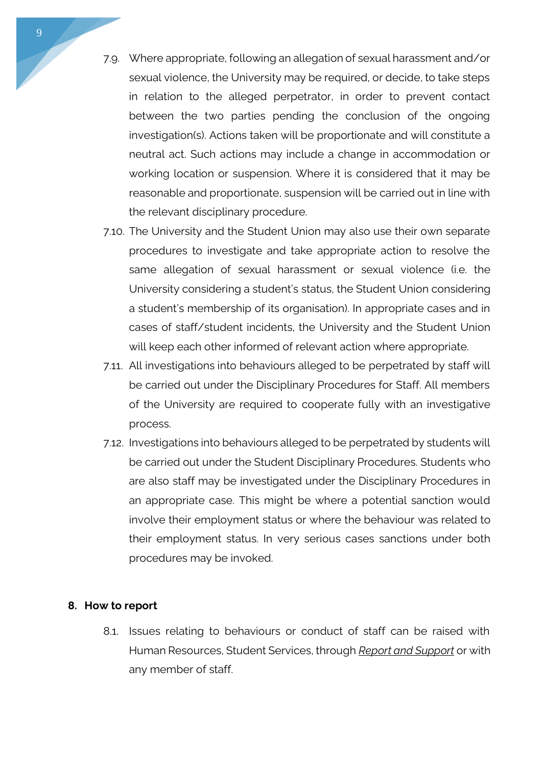- 7.9. Where appropriate, following an allegation of sexual harassment and/or sexual violence, the University may be required, or decide, to take steps in relation to the alleged perpetrator, in order to prevent contact between the two parties pending the conclusion of the ongoing investigation(s). Actions taken will be proportionate and will constitute a neutral act. Such actions may include a change in accommodation or working location or suspension. Where it is considered that it may be reasonable and proportionate, suspension will be carried out in line with the relevant disciplinary procedure.
- 7.10. The University and the Student Union may also use their own separate procedures to investigate and take appropriate action to resolve the same allegation of sexual harassment or sexual violence (i.e. the University considering a student's status, the Student Union considering a student's membership of its organisation). In appropriate cases and in cases of staff/student incidents, the University and the Student Union will keep each other informed of relevant action where appropriate.
- 7.11. All investigations into behaviours alleged to be perpetrated by staff will be carried out under the Disciplinary Procedures for Staff. All members of the University are required to cooperate fully with an investigative process.
- 7.12. Investigations into behaviours alleged to be perpetrated by students will be carried out under the Student Disciplinary Procedures. Students who are also staff may be investigated under the Disciplinary Procedures in an appropriate case. This might be where a potential sanction would involve their employment status or where the behaviour was related to their employment status. In very serious cases sanctions under both procedures may be invoked.

#### **8. How to report**

8.1. Issues relating to behaviours or conduct of staff can be raised with Human Resources, Student Services, through *[Report and Support](https://reportandsupport.winchester.ac.uk/)* or with any member of staff.

9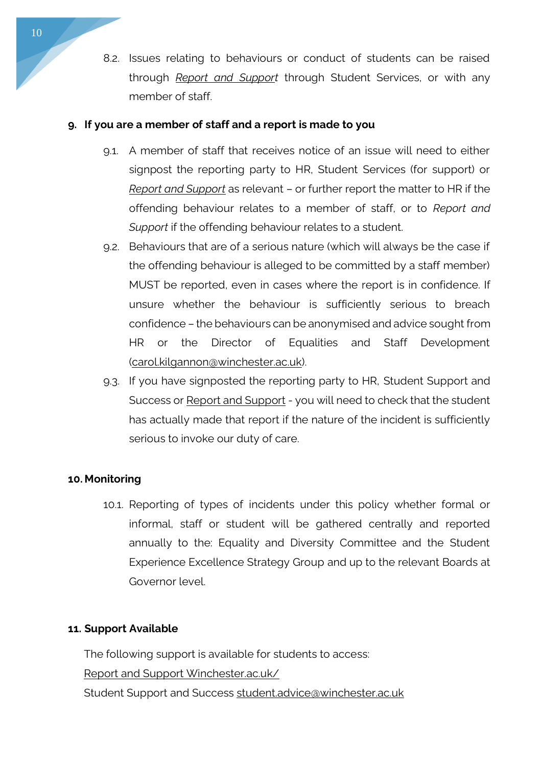8.2. Issues relating to behaviours or conduct of students can be raised through *[Report and Support](https://reportandsupport.winchester.ac.uk/)* through Student Services, or with any member of staff.

## **9. If you are a member of staff and a report is made to you**

- 9.1. A member of staff that receives notice of an issue will need to either signpost the reporting party to HR, Student Services (for support) or *[Report and Support](https://reportandsupport.winchester.ac.uk/)* as relevant – or further report the matter to HR if the offending behaviour relates to a member of staff, or to *Report and Support* if the offending behaviour relates to a student.
- 9.2. Behaviours that are of a serious nature (which will always be the case if the offending behaviour is alleged to be committed by a staff member) MUST be reported, even in cases where the report is in confidence. If unsure whether the behaviour is sufficiently serious to breach confidence – the behaviours can be anonymised and advice sought from HR or the Director of Equalities and Staff Development [\(carol.kilgannon@winchester.ac.uk\)](mailto:carol.kilgannon@winchester.ac.uk).
- 9.3. If you have signposted the reporting party to HR, Student Support and Success or [Report and Support](https://reportandsupport.winchester.ac.uk/) - you will need to check that the student has actually made that report if the nature of the incident is sufficiently serious to invoke our duty of care.

# **10. Monitoring**

10.1. Reporting of types of incidents under this policy whether formal or informal, staff or student will be gathered centrally and reported annually to the: Equality and Diversity Committee and the Student Experience Excellence Strategy Group and up to the relevant Boards at Governor level.

### **11. Support Available**

The following support is available for students to access: Report and Support [Winchester.ac.uk/](https://reportandsupport.winchester.ac.uk/) Student Support and Success [student.advice@winchester.ac.uk](mailto:student.advice@winchester.ac.uk)

10